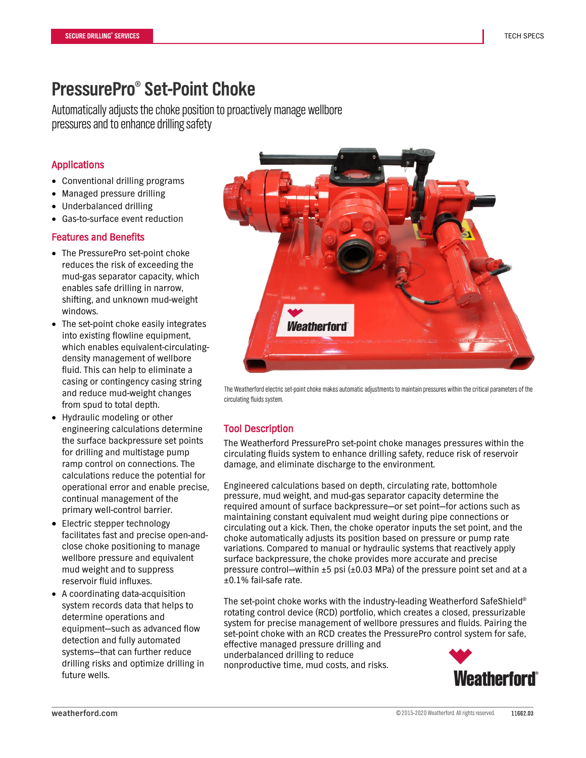# **PressurePro® Set-Point Choke**

Automatically adjusts the choke position to proactively manage wellbore pressures and to enhance drilling safety

## Applications

- Conventional drilling programs
- Managed pressure drilling
- Underbalanced drilling
- Gas-to-surface event reduction

#### Features and Benefits

- The PressurePro set-point choke reduces the risk of exceeding the mud-gas separator capacity, which enables safe drilling in narrow, shifting, and unknown mud-weight windows.
- The set-point choke easily integrates into existing flowline equipment, which enables equivalent-circulatingdensity management of wellbore fluid. This can help to eliminate a casing or contingency casing string and reduce mud-weight changes from spud to total depth.
- Hydraulic modeling or other engineering calculations determine the surface backpressure set points for drilling and multistage pump ramp control on connections. The calculations reduce the potential for operational error and enable precise, continual management of the primary well-control barrier.
- Electric stepper technology facilitates fast and precise open-andclose choke positioning to manage wellbore pressure and equivalent mud weight and to suppress reservoir fluid influxes.
- A coordinating data-acquisition system records data that helps to determine operations and equipment—such as advanced flow detection and fully automated systems—that can further reduce drilling risks and optimize drilling in future wells.



The Weatherford electric set-point choke makes automatic adjustments to maintain pressures within the critical parameters of the circulating fluids system.

## Tool Description

The Weatherford PressurePro set-point choke manages pressures within the circulating fluids system to enhance drilling safety, reduce risk of reservoir damage, and eliminate discharge to the environment.

Engineered calculations based on depth, circulating rate, bottomhole pressure, mud weight, and mud-gas separator capacity determine the required amount of surface backpressure—or set point—for actions such as maintaining constant equivalent mud weight during pipe connections or circulating out a kick. Then, the choke operator inputs the set point, and the choke automatically adjusts its position based on pressure or pump rate variations. Compared to manual or hydraulic systems that reactively apply surface backpressure, the choke provides more accurate and precise pressure control—within  $\pm 5$  psi ( $\pm 0.03$  MPa) of the pressure point set and at a ±0.1% fail-safe rate.

The set-point choke works with the industry-leading Weatherford SafeShield® rotating control device (RCD) portfolio, which creates a closed, pressurizable system for precise management of wellbore pressures and fluids. Pairing the set-point choke with an RCD creates the PressurePro control system for safe, effective managed pressure drilling and underbalanced drilling to reduce

nonproductive time, mud costs, and risks.

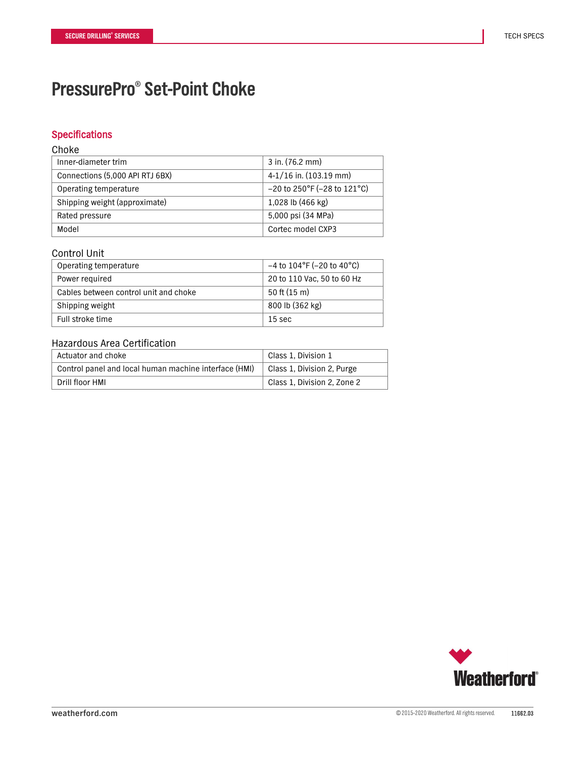# **PressurePro® Set-Point Choke**

### **Specifications**

#### Choke

| Inner-diameter trim             | $3$ in. (76.2 mm)             |
|---------------------------------|-------------------------------|
| Connections (5,000 API RTJ 6BX) | $4-1/16$ in. (103.19 mm)      |
| Operating temperature           | $-20$ to 250°F (-28 to 121°C) |
| Shipping weight (approximate)   | 1,028 lb (466 kg)             |
| Rated pressure                  | 5,000 psi (34 MPa)            |
| Model                           | Cortec model CXP3             |

#### Control Unit

| Operating temperature                 | $-4$ to $104^{\circ}$ F (-20 to 40 $^{\circ}$ C) |
|---------------------------------------|--------------------------------------------------|
| Power required                        | 20 to 110 Vac, 50 to 60 Hz                       |
| Cables between control unit and choke | $50$ ft (15 m)                                   |
| Shipping weight                       | 800 lb (362 kg)                                  |
| Full stroke time                      | 15 sec                                           |

### Hazardous Area Certification

| Actuator and choke                                    | Class 1. Division 1         |
|-------------------------------------------------------|-----------------------------|
| Control panel and local human machine interface (HMI) | Class 1, Division 2, Purge  |
| Drill floor HMI                                       | Class 1, Division 2, Zone 2 |